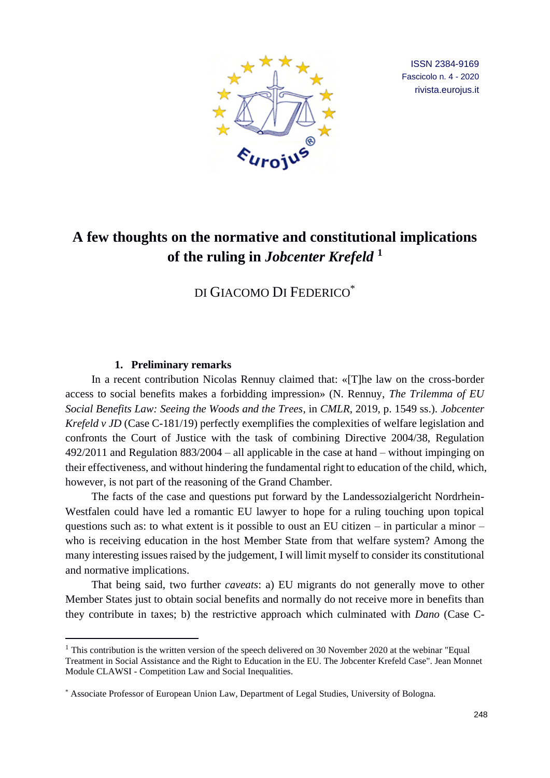

ISSN 2384-9169 Fascicolo n. 4 - 2020 rivista.eurojus.it

# **A few thoughts on the normative and constitutional implications of the ruling in** *Jobcenter Krefeld* **<sup>1</sup>**

DI GIACOMO DI FEDERICO\*

## **1. Preliminary remarks**

In a recent contribution Nicolas Rennuy claimed that: «[T]he law on the cross-border access to social benefits makes a forbidding impression» (N. Rennuy, *The Trilemma of EU Social Benefits Law: Seeing the Woods and the Trees*, in *CMLR*, 2019, p. 1549 ss.). *Jobcenter Krefeld v JD* (Case C-181/19) perfectly exemplifies the complexities of welfare legislation and confronts the Court of Justice with the task of combining Directive 2004/38, Regulation 492/2011 and Regulation 883/2004 – all applicable in the case at hand – without impinging on their effectiveness, and without hindering the fundamental right to education of the child, which, however, is not part of the reasoning of the Grand Chamber.

The facts of the case and questions put forward by the Landessozialgericht Nordrhein-Westfalen could have led a romantic EU lawyer to hope for a ruling touching upon topical questions such as: to what extent is it possible to oust an EU citizen – in particular a minor – who is receiving education in the host Member State from that welfare system? Among the many interesting issues raised by the judgement, I will limit myself to consider its constitutional and normative implications.

That being said, two further *caveats*: a) EU migrants do not generally move to other Member States just to obtain social benefits and normally do not receive more in benefits than they contribute in taxes; b) the restrictive approach which culminated with *Dano* (Case C-

<sup>&</sup>lt;sup>1</sup> This contribution is the written version of the speech delivered on 30 November 2020 at the webinar "Equal" Treatment in Social Assistance and the Right to Education in the EU. The Jobcenter Krefeld Case". Jean Monnet Module CLAWSI - Competition Law and Social Inequalities.

<sup>\*</sup> Associate Professor of European Union Law, Department of Legal Studies, University of Bologna.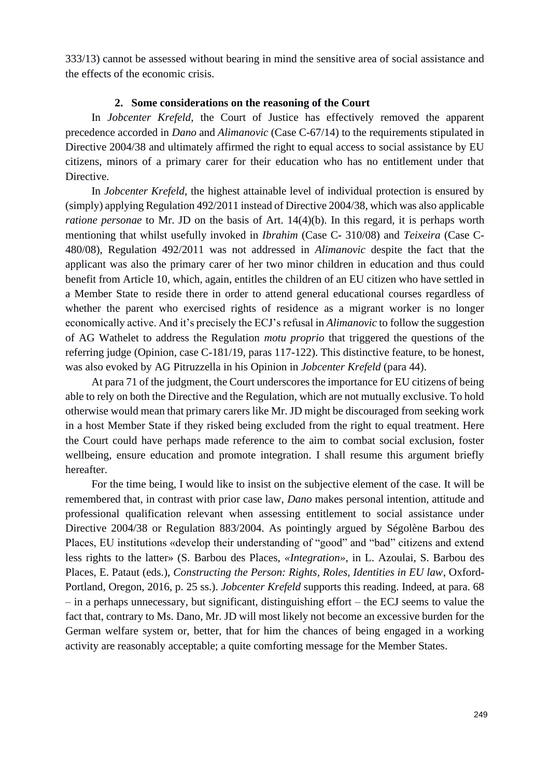333/13) cannot be assessed without bearing in mind the sensitive area of social assistance and the effects of the economic crisis.

#### **2. Some considerations on the reasoning of the Court**

In *Jobcenter Krefeld*, the Court of Justice has effectively removed the apparent precedence accorded in *Dano* and *Alimanovic* (Case C-67/14) to the requirements stipulated in Directive 2004/38 and ultimately affirmed the right to equal access to social assistance by EU citizens, minors of a primary carer for their education who has no entitlement under that Directive.

In *Jobcenter Krefeld*, the highest attainable level of individual protection is ensured by (simply) applying Regulation 492/2011 instead of Directive 2004/38, which was also applicable *ratione personae* to Mr. JD on the basis of Art. 14(4)(b). In this regard, it is perhaps worth mentioning that whilst usefully invoked in *Ibrahim* (Case C- 310/08) and *Teixeira* (Case C-480/08), Regulation 492/2011 was not addressed in *Alimanovic* despite the fact that the applicant was also the primary carer of her two minor children in education and thus could benefit from Article 10, which, again, entitles the children of an EU citizen who have settled in a Member State to reside there in order to attend general educational courses regardless of whether the parent who exercised rights of residence as a migrant worker is no longer economically active. And it's precisely the ECJ's refusal in *Alimanovic* to follow the suggestion of AG Wathelet to address the Regulation *motu proprio* that triggered the questions of the referring judge (Opinion, case C-181/19, paras 117-122). This distinctive feature, to be honest, was also evoked by AG Pitruzzella in his Opinion in *Jobcenter Krefeld* (para 44).

At para 71 of the judgment, the Court underscores the importance for EU citizens of being able to rely on both the Directive and the Regulation, which are not mutually exclusive. To hold otherwise would mean that primary carers like Mr. JD might be discouraged from seeking work in a host Member State if they risked being excluded from the right to equal treatment. Here the Court could have perhaps made reference to the aim to combat social exclusion, foster wellbeing, ensure education and promote integration. I shall resume this argument briefly hereafter.

For the time being, I would like to insist on the subjective element of the case. It will be remembered that, in contrast with prior case law, *Dano* makes personal intention, attitude and professional qualification relevant when assessing entitlement to social assistance under Directive 2004/38 or Regulation 883/2004. As pointingly argued by Ségolène Barbou des Places, EU institutions «develop their understanding of "good" and "bad" citizens and extend less rights to the latter» (S. Barbou des Places, *«Integration»*, in L. Azoulai, S. Barbou des Places, E. Pataut (eds.), *Constructing the Person: Rights, Roles, Identities in EU law*, Oxford-Portland, Oregon, 2016, p. 25 ss.). *Jobcenter Krefeld* supports this reading. Indeed, at para. 68 – in a perhaps unnecessary, but significant, distinguishing effort – the ECJ seems to value the fact that, contrary to Ms. Dano, Mr. JD will most likely not become an excessive burden for the German welfare system or, better, that for him the chances of being engaged in a working activity are reasonably acceptable; a quite comforting message for the Member States.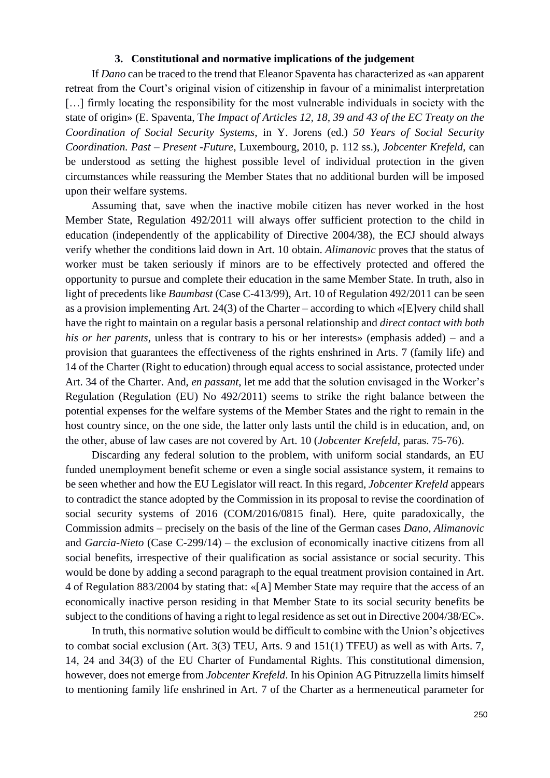#### **3. Constitutional and normative implications of the judgement**

If *Dano* can be traced to the trend that Eleanor Spaventa has characterized as «an apparent retreat from the Court's original vision of citizenship in favour of a minimalist interpretation [...] firmly locating the responsibility for the most vulnerable individuals in society with the state of origin» (E. Spaventa, T*he Impact of Articles 12, 18, 39 and 43 of the EC Treaty on the Coordination of Social Security Systems*, in Y. Jorens (ed.) *50 Years of Social Security Coordination. Past – Present -Future*, Luxembourg, 2010, p. 112 ss.), *Jobcenter Krefeld*, can be understood as setting the highest possible level of individual protection in the given circumstances while reassuring the Member States that no additional burden will be imposed upon their welfare systems.

Assuming that, save when the inactive mobile citizen has never worked in the host Member State, Regulation 492/2011 will always offer sufficient protection to the child in education (independently of the applicability of Directive 2004/38), the ECJ should always verify whether the conditions laid down in Art. 10 obtain. *Alimanovic* proves that the status of worker must be taken seriously if minors are to be effectively protected and offered the opportunity to pursue and complete their education in the same Member State. In truth, also in light of precedents like *Baumbast* (Case C-413/99), Art. 10 of Regulation 492/2011 can be seen as a provision implementing Art. 24(3) of the Charter – according to which «[E]very child shall have the right to maintain on a regular basis a personal relationship and *direct contact with both his or her parents*, unless that is contrary to his or her interests» (emphasis added) – and a provision that guarantees the effectiveness of the rights enshrined in Arts. 7 (family life) and 14 of the Charter (Right to education) through equal access to social assistance, protected under Art. 34 of the Charter. And, *en passant*, let me add that the solution envisaged in the Worker's Regulation (Regulation (EU) No 492/2011) seems to strike the right balance between the potential expenses for the welfare systems of the Member States and the right to remain in the host country since, on the one side, the latter only lasts until the child is in education, and, on the other, abuse of law cases are not covered by Art. 10 (*Jobcenter Krefeld*, paras. 75-76).

Discarding any federal solution to the problem, with uniform social standards, an EU funded unemployment benefit scheme or even a single social assistance system, it remains to be seen whether and how the EU Legislator will react. In this regard, *Jobcenter Krefeld* appears to contradict the stance adopted by the Commission in its proposal to revise the coordination of social security systems of 2016 (COM/2016/0815 final). Here, quite paradoxically, the Commission admits – precisely on the basis of the line of the German cases *Dano*, *Alimanovic* and *Garcia-Nieto* (Case C-299/14) – the exclusion of economically inactive citizens from all social benefits, irrespective of their qualification as social assistance or social security. This would be done by adding a second paragraph to the equal treatment provision contained in Art. 4 of Regulation 883/2004 by stating that: «[A] Member State may require that the access of an economically inactive person residing in that Member State to its social security benefits be subject to the conditions of having a right to legal residence as set out in Directive 2004/38/EC».

In truth, this normative solution would be difficult to combine with the Union's objectives to combat social exclusion (Art. 3(3) TEU, Arts. 9 and 151(1) TFEU) as well as with Arts. 7, 14, 24 and 34(3) of the EU Charter of Fundamental Rights. This constitutional dimension, however, does not emerge from *Jobcenter Krefeld*. In his Opinion AG Pitruzzella limits himself to mentioning family life enshrined in Art. 7 of the Charter as a hermeneutical parameter for